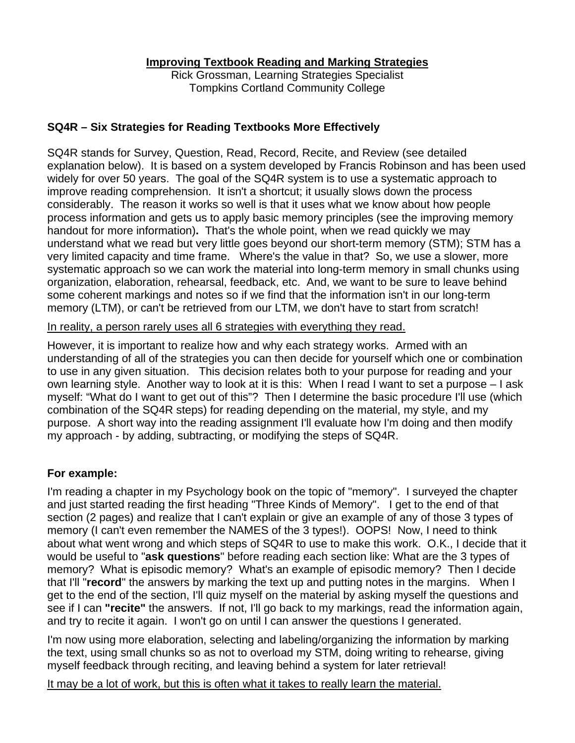Rick Grossman, Learning Strategies Specialist Tompkins Cortland Community College

# **SQ4R – Six Strategies for Reading Textbooks More Effectively**

SQ4R stands for Survey, Question, Read, Record, Recite, and Review (see detailed explanation below). It is based on a system developed by Francis Robinson and has been used widely for over 50 years. The goal of the SQ4R system is to use a systematic approach to improve reading comprehension. It isn't a shortcut; it usually slows down the process considerably. The reason it works so well is that it uses what we know about how people process information and gets us to apply basic memory principles (see the improving memory handout for more information)**.** That's the whole point, when we read quickly we may understand what we read but very little goes beyond our short-term memory (STM); STM has a very limited capacity and time frame. Where's the value in that? So, we use a slower, more systematic approach so we can work the material into long-term memory in small chunks using organization, elaboration, rehearsal, feedback, etc. And, we want to be sure to leave behind some coherent markings and notes so if we find that the information isn't in our long-term memory (LTM), or can't be retrieved from our LTM, we don't have to start from scratch!

In reality, a person rarely uses all 6 strategies with everything they read.

However, it is important to realize how and why each strategy works. Armed with an understanding of all of the strategies you can then decide for yourself which one or combination to use in any given situation. This decision relates both to your purpose for reading and your own learning style. Another way to look at it is this: When I read I want to set a purpose – I ask myself: "What do I want to get out of this"? Then I determine the basic procedure I'll use (which combination of the SQ4R steps) for reading depending on the material, my style, and my purpose. A short way into the reading assignment I'll evaluate how I'm doing and then modify my approach - by adding, subtracting, or modifying the steps of SQ4R.

## **For example:**

I'm reading a chapter in my Psychology book on the topic of "memory". I surveyed the chapter and just started reading the first heading "Three Kinds of Memory". I get to the end of that section (2 pages) and realize that I can't explain or give an example of any of those 3 types of memory (I can't even remember the NAMES of the 3 types!). OOPS! Now, I need to think about what went wrong and which steps of SQ4R to use to make this work. O.K., I decide that it would be useful to "**ask questions**" before reading each section like: What are the 3 types of memory? What is episodic memory? What's an example of episodic memory? Then I decide that I'll "**record**" the answers by marking the text up and putting notes in the margins. When I get to the end of the section, I'll quiz myself on the material by asking myself the questions and see if I can **"recite"** the answers. If not, I'll go back to my markings, read the information again, and try to recite it again. I won't go on until I can answer the questions I generated.

I'm now using more elaboration, selecting and labeling/organizing the information by marking the text, using small chunks so as not to overload my STM, doing writing to rehearse, giving myself feedback through reciting, and leaving behind a system for later retrieval!

It may be a lot of work, but this is often what it takes to really learn the material.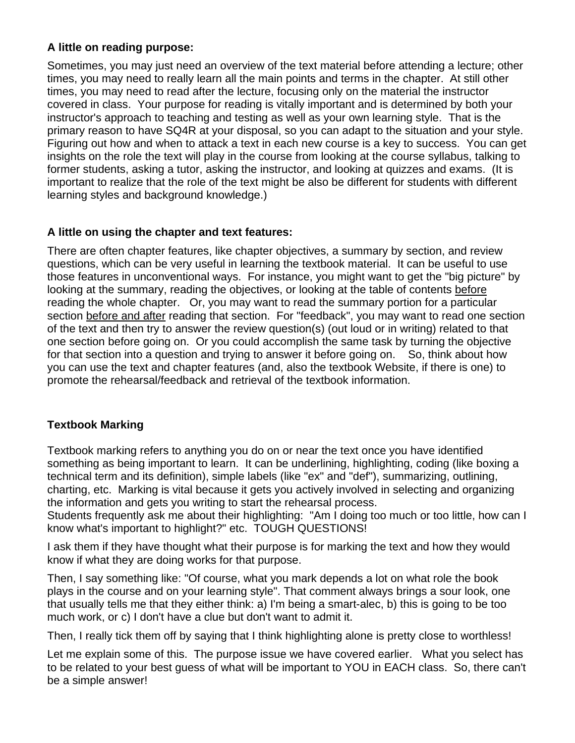## **A little on reading purpose:**

Sometimes, you may just need an overview of the text material before attending a lecture; other times, you may need to really learn all the main points and terms in the chapter. At still other times, you may need to read after the lecture, focusing only on the material the instructor covered in class. Your purpose for reading is vitally important and is determined by both your instructor's approach to teaching and testing as well as your own learning style. That is the primary reason to have SQ4R at your disposal, so you can adapt to the situation and your style. Figuring out how and when to attack a text in each new course is a key to success. You can get insights on the role the text will play in the course from looking at the course syllabus, talking to former students, asking a tutor, asking the instructor, and looking at quizzes and exams. (It is important to realize that the role of the text might be also be different for students with different learning styles and background knowledge.)

### **A little on using the chapter and text features:**

There are often chapter features, like chapter objectives, a summary by section, and review questions, which can be very useful in learning the textbook material. It can be useful to use those features in unconventional ways. For instance, you might want to get the "big picture" by looking at the summary, reading the objectives, or looking at the table of contents before reading the whole chapter. Or, you may want to read the summary portion for a particular section before and after reading that section. For "feedback", you may want to read one section of the text and then try to answer the review question(s) (out loud or in writing) related to that one section before going on. Or you could accomplish the same task by turning the objective for that section into a question and trying to answer it before going on. So, think about how you can use the text and chapter features (and, also the textbook Website, if there is one) to promote the rehearsal/feedback and retrieval of the textbook information.

## **Textbook Marking**

Textbook marking refers to anything you do on or near the text once you have identified something as being important to learn. It can be underlining, highlighting, coding (like boxing a technical term and its definition), simple labels (like "ex" and "def"), summarizing, outlining, charting, etc. Marking is vital because it gets you actively involved in selecting and organizing the information and gets you writing to start the rehearsal process.

Students frequently ask me about their highlighting: "Am I doing too much or too little, how can I know what's important to highlight?" etc. TOUGH QUESTIONS!

I ask them if they have thought what their purpose is for marking the text and how they would know if what they are doing works for that purpose.

Then, I say something like: "Of course, what you mark depends a lot on what role the book plays in the course and on your learning style". That comment always brings a sour look, one that usually tells me that they either think: a) I'm being a smart-alec, b) this is going to be too much work, or c) I don't have a clue but don't want to admit it.

Then, I really tick them off by saying that I think highlighting alone is pretty close to worthless!

Let me explain some of this. The purpose issue we have covered earlier. What you select has to be related to your best guess of what will be important to YOU in EACH class. So, there can't be a simple answer!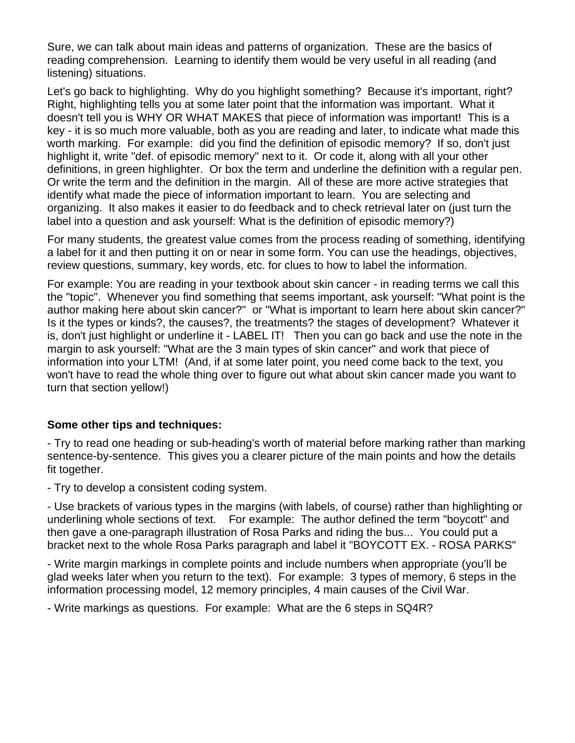Sure, we can talk about main ideas and patterns of organization. These are the basics of reading comprehension. Learning to identify them would be very useful in all reading (and listening) situations.

Let's go back to highlighting. Why do you highlight something? Because it's important, right? Right, highlighting tells you at some later point that the information was important. What it doesn't tell you is WHY OR WHAT MAKES that piece of information was important! This is a key - it is so much more valuable, both as you are reading and later, to indicate what made this worth marking. For example: did you find the definition of episodic memory? If so, don't just highlight it, write "def. of episodic memory" next to it. Or code it, along with all your other definitions, in green highlighter. Or box the term and underline the definition with a regular pen. Or write the term and the definition in the margin. All of these are more active strategies that identify what made the piece of information important to learn. You are selecting and organizing. It also makes it easier to do feedback and to check retrieval later on (just turn the label into a question and ask yourself: What is the definition of episodic memory?)

For many students, the greatest value comes from the process reading of something, identifying a label for it and then putting it on or near in some form. You can use the headings, objectives, review questions, summary, key words, etc. for clues to how to label the information.

For example: You are reading in your textbook about skin cancer - in reading terms we call this the "topic". Whenever you find something that seems important, ask yourself: "What point is the author making here about skin cancer?" or "What is important to learn here about skin cancer?" Is it the types or kinds?, the causes?, the treatments? the stages of development? Whatever it is, don't just highlight or underline it - LABEL IT! Then you can go back and use the note in the margin to ask yourself: "What are the 3 main types of skin cancer" and work that piece of information into your LTM! (And, if at some later point, you need come back to the text, you won't have to read the whole thing over to figure out what about skin cancer made you want to turn that section yellow!)

## **Some other tips and techniques:**

- Try to read one heading or sub-heading's worth of material before marking rather than marking sentence-by-sentence. This gives you a clearer picture of the main points and how the details fit together.

- Try to develop a consistent coding system.

- Use brackets of various types in the margins (with labels, of course) rather than highlighting or underlining whole sections of text. For example: The author defined the term "boycott" and then gave a one-paragraph illustration of Rosa Parks and riding the bus... You could put a bracket next to the whole Rosa Parks paragraph and label it "BOYCOTT EX. - ROSA PARKS"

- Write margin markings in complete points and include numbers when appropriate (you'll be glad weeks later when you return to the text). For example: 3 types of memory, 6 steps in the information processing model, 12 memory principles, 4 main causes of the Civil War.

- Write markings as questions. For example: What are the 6 steps in SQ4R?